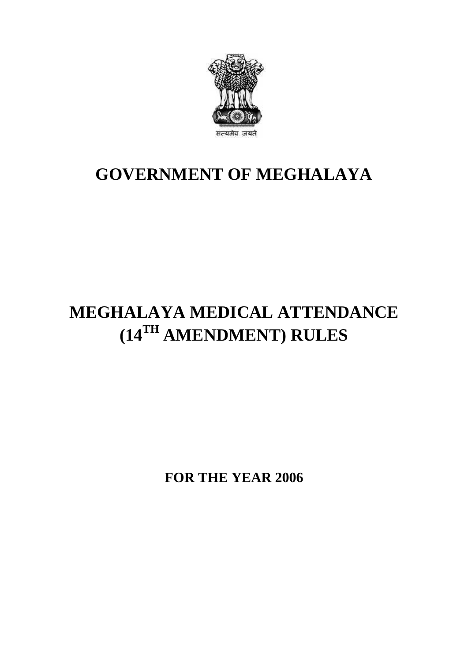

## **GOVERNMENT OF MEGHALAYA**

# **MEGHALAYA MEDICAL ATTENDANCE (14TH AMENDMENT) RULES**

**FOR THE YEAR 2006**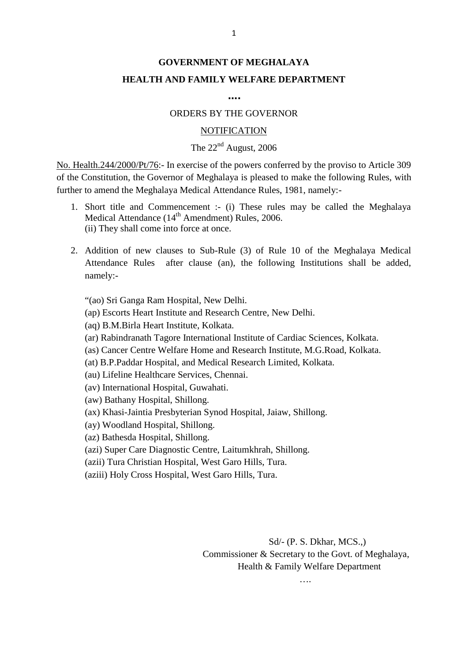### **GOVERNMENT OF MEGHALAYA HEALTH AND FAMILY WELFARE DEPARTMENT**

**….**

### ORDERS BY THE GOVERNOR

#### **NOTIFICATION**

The  $22<sup>nd</sup>$  August, 2006<br>No. Health.244/2000/Pt/76:- In exercise of the powers conferred by the proviso to Article 309 ORDERS BY THE GOVERNOR<br>
NOTIFICATION<br>
The 22<sup>nd</sup> August, 2006<br>
No. Health.244/2000/Pt/76:- In exercise of the powers conferred by the proviso to Article 309<br>
of the Constitution, the Governor of Meghalaya is pleased to mak **OFIFICATION**<br>The 22<sup>nd</sup> August, 2006<br>No. Health.244/2000/Pt/76:- In exercise of the powers conferred by the proviso to Article 309<br>of the Constitution, the Governor of Meghalaya is pleased to make the following Rules, wit further to amend the Meghalaya Medical Attendance Rules, 1981, namely:- **1.** Short title and Commencement is the provise of the powers conferred by the proviso to Article 309 he Constitution, the Governor of Meghalaya is pleased to make the following Rules, with her to amend the Meghalaya Med alth.244/2000/Pt/76:- In exercise of the powers conferred<br>Constitution, the Governor of Meghalaya is pleased to mato amend the Meghalaya Medical Attendance Rules, 198<br>Short title and Commencement :- (i) These rules ma<br>Medi

- (ii) They shall come into force at once. 2. Addition of new clauses to Sub-Rule (3) of Rule 10 of the Meghalaya Medical Attendance (14<sup>th</sup> Amendment) Rules, 2006.<br>
2. Addition of new clauses to Sub-Rule (3) of Rule 10 of the Meghalaya Medical Attendance Rules af Medical Attendance ( $14<sup>th</sup>$  Amendment) Rules, 2006.<br>
(ii) They shall come into force at once.<br>
2. Addition of new clauses to Sub-Rule (3) of Rule 10 of the Meghalaya Medical
- namely:- Attendance Rules after clause (an), the following Institutions shall be added,

"(ao) Sri Ganga Ram Hospital, New Delhi.

(aq) B.M.Birla Heart Institute, Kolkata.

(ar) Rabindranath Tagore International Institute of Cardiac Sciences, Kolkata.

(as) Cancer Centre Welfare Home and Research Institute, M.G.Road, Kolkata.

(at) B.P.Paddar Hospital, and Medical Research Limited, Kolkata.

(au) Lifeline Healthcare Services, Chennai.

(av) International Hospital, Guwahati.

(aw) Bathany Hospital, Shillong.

(ax) Khasi-Jaintia Presbyterian Synod Hospital, Jaiaw, Shillong.<br>(ay) Woodland Hospital, Shillong.<br>(azi) Bathesda Hospital, Shillong.<br>(azii) Super Care Diagnostic Centre, Laitumkhrah, Shillong.<br>(azii) Tura Christian Hospit

(ay) Woodland Hospital, Shillong.

(az) Bathesda Hospital, Shillong.

(azi) Super Care Diagnostic Centre, Laitumkhrah, Shillong.

(aziii) Holy Cross Hospital, West Garo Hills, Tura.

Sd/- (P. S. Dkhar, MCS.,) Sd/- (P. S. Dkhar, MCS.,)<br>Commissioner & Secretary to the Govt. of Meghalaya,<br>Health & Family Welfare Department Health & Family Welfare Department

….